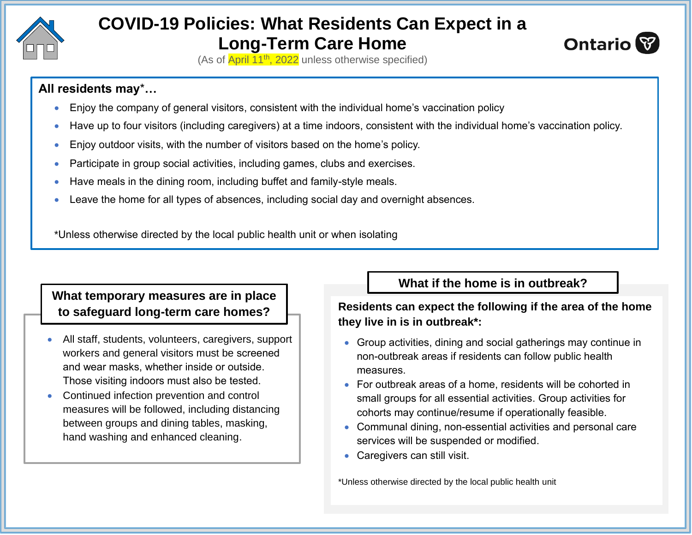

# **COVID-19 Policies: What Residents Can Expect in a Long-Term Care Home**



(As of April 11<sup>th</sup>, 2022 unless otherwise specified)

#### **All residents may**\***…**

- Enjoy the company of general visitors, consistent with the individual home's vaccination policy
- Have up to four visitors (including caregivers) at a time indoors, consistent with the individual home's vaccination policy.
- Enjoy outdoor visits, with the number of visitors based on the home's policy.
- Participate in group social activities, including games, clubs and exercises.
- Have meals in the dining room, including buffet and family-style meals.
- Leave the home for all types of absences, including social day and overnight absences.

\*Unless otherwise directed by the local public health unit or when isolating

#### **What temporary measures are in place to safeguard long-term care homes?**

- All staff, students, volunteers, caregivers, support workers and general visitors must be screened and wear masks, whether inside or outside. Those visiting indoors must also be tested.
- Continued infection prevention and control measures will be followed, including distancing between groups and dining tables, masking, hand washing and enhanced cleaning.

## **What if the home is in outbreak?**

#### **Residents can expect the following if the area of the home they live in is in outbreak\*:**

- Group activities, dining and social gatherings may continue in non-outbreak areas if residents can follow public health measures.
- For outbreak areas of a home, residents will be cohorted in small groups for all essential activities. Group activities for cohorts may continue/resume if operationally feasible.
- Communal dining, non-essential activities and personal care services will be suspended or modified.
- Caregivers can still visit.

\*Unless otherwise directed by the local public health unit